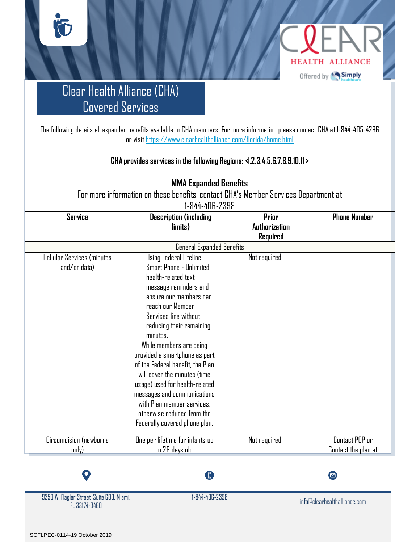

### Clear Health Alliance (CHA) Covered Services

**ÏO** 

The following details all expanded benefits available to CHA members. For more information please contact CHA at 1-844-405-4296 or visi[t https://www.clearhealthalliance.com/florida/home.html](https://www.clearhealthalliance.com/florida/home.html)

#### **CHA provides services in the following Regions: <I,2,3,4,5,6,7,8,9,10,11 >**

**MMA Expanded Benefits**

For more information on these benefits, contact CHA's Member Services Department at 1-844-406-2398

| <b>Service</b>                             | <b>Description (including</b>                                                                                                                                                                                                                                                                                                                    | Prior         | <b>Phone Number</b>                   |
|--------------------------------------------|--------------------------------------------------------------------------------------------------------------------------------------------------------------------------------------------------------------------------------------------------------------------------------------------------------------------------------------------------|---------------|---------------------------------------|
|                                            | limits)                                                                                                                                                                                                                                                                                                                                          | Authorization |                                       |
|                                            |                                                                                                                                                                                                                                                                                                                                                  | Required      |                                       |
|                                            | <b>General Expanded Benefits</b>                                                                                                                                                                                                                                                                                                                 |               |                                       |
| Cellular Services (minutes<br>and/or data) | Using Federal Lifeline<br>Smart Phone - Unlimited<br>health-related text<br>message reminders and<br>ensure our members can<br>reach our Member<br>Services line without<br>reducing their remaining<br>minutes.<br>While members are being<br>provided a smartphone as part<br>of the Federal benefit, the Plan<br>will cover the minutes (time | Not required  |                                       |
|                                            | usage) used for health-related<br>messages and communications<br>with Plan member services,<br>otherwise reduced from the<br>Federally covered phone plan.                                                                                                                                                                                       |               |                                       |
| Circumcision (newborns<br>anly)            | One per lifetime for infants up<br>to 28 days old                                                                                                                                                                                                                                                                                                | Not required  | Contact PCP or<br>Contact the plan at |



O

A

 $\bullet$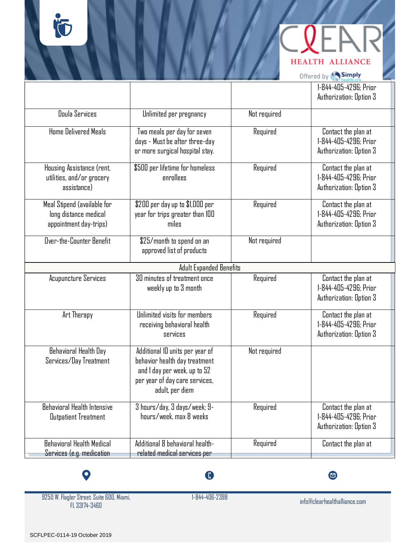**HEALTH ALLIANCE** 

Offered by Simply

|                                                                                |                                                                                                                                                       |              | 1-844-405-4296; Prior<br>Authorization: Option 3                        |  |
|--------------------------------------------------------------------------------|-------------------------------------------------------------------------------------------------------------------------------------------------------|--------------|-------------------------------------------------------------------------|--|
| Doula Services                                                                 | Unlimited per pregnancy                                                                                                                               | Not required |                                                                         |  |
| Home Delivered Meals                                                           | Two meals per day for seven<br>days - Must be after three-day<br>or more surgical hospital stay.                                                      | Required     | Contact the plan at<br>1-844-405-4296; Prior<br>Authorization: Option 3 |  |
| Housing Assistance (rent,<br>utilities, and/or grocery<br>assistance)          | \$500 per lifetime for homeless<br>enrollees                                                                                                          | Required     | Contact the plan at<br>1-844-405-4296; Prior<br>Authorization: Option 3 |  |
| Meal Stipend (available for<br>long distance medical<br>appointment day-trips) | \$200 per day up to \$1,000 per<br>year for trips greater than 100<br>miles                                                                           | Required     | Contact the plan at<br>1-844-405-4296; Prior<br>Authorization: Option 3 |  |
| Over-the-Counter Benefit                                                       | \$25/month to spend on an<br>approved list of products                                                                                                | Not required |                                                                         |  |
|                                                                                | <b>Adult Expanded Benefits</b>                                                                                                                        |              |                                                                         |  |
| <b>Acupuncture Services</b>                                                    | 30 minutes of treatment once<br>weekly up to 3 month                                                                                                  | Required     | Contact the plan at<br>1-844-405-4296; Prior<br>Authorization: Option 3 |  |
| Art Therapy                                                                    | Unlimited visits for members<br>receiving behavioral health<br>services                                                                               | Required     | Contact the plan at<br>1-844-405-4296: Prior<br>Authorization: Option 3 |  |
| Behavioral Health Day<br>Services/Day Treatment                                | Additional 10 units per year of<br>behavior health day treatment<br>and I day per week, up to 52<br>per year of day care services,<br>adult, per diem | Not required |                                                                         |  |
| Behavioral Health Intensive<br><b>Outpatient Treatment</b>                     | 3 hours/day, 3 days/week; 9-<br>hours/week, max 8 weeks                                                                                               | Required     | Contact the plan at<br>1-844-405-4296: Prior<br>Authorization: Option 3 |  |
| <b>Behavioral Health Medical</b><br>Services (e.g. medication                  | Additional 8 behavioral health-<br>related medical services per                                                                                       | Required     | Contact the plan at                                                     |  |

 $\bullet$ 

 $\bigoplus$ 

 $\bullet$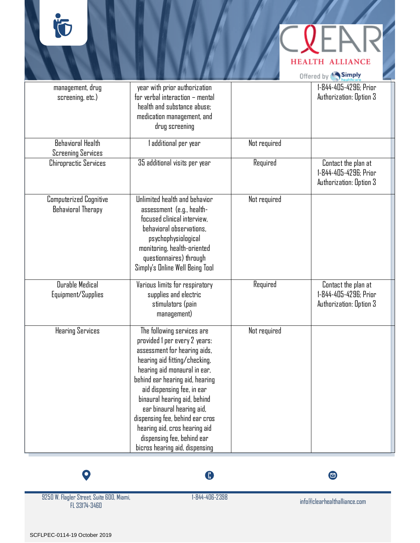## **HEALTH ALLIANCE**

Offered by **Simply** 

| management, drug<br>screening, etc.)                       | year with prior authorization<br>for verbal interaction - mental<br>health and substance abuse:<br>medication management, and<br>drug screening                                                                                                                                                                                                                                                                                |              | 1-844-405-4296: Prior<br>Authorization: Option 3                        |
|------------------------------------------------------------|--------------------------------------------------------------------------------------------------------------------------------------------------------------------------------------------------------------------------------------------------------------------------------------------------------------------------------------------------------------------------------------------------------------------------------|--------------|-------------------------------------------------------------------------|
| <b>Behavioral Health</b><br><b>Screening Services</b>      | additional per year                                                                                                                                                                                                                                                                                                                                                                                                            | Not required |                                                                         |
| <b>Chiropractic Services</b>                               | 35 additional visits per year                                                                                                                                                                                                                                                                                                                                                                                                  | Required     | Contact the plan at<br>1-844-405-4296: Prior<br>Authorization: Option 3 |
| <b>Computerized Cognitive</b><br><b>Behavioral Therapy</b> | Unlimited health and behavior<br>assessment (e.g., health-<br>focused clinical interview,<br>behavioral observations,<br>psychophysiological<br>monitoring, health-oriented<br>questionnaires) through<br>Simply's Online Well Being Tool                                                                                                                                                                                      | Not required |                                                                         |
| Durable Medical<br>Equipment/Supplies                      | Various limits for respiratory<br>supplies and electric<br>stimulators (pain<br>management)                                                                                                                                                                                                                                                                                                                                    | Required     | Contact the plan at<br>1-844-405-4296; Prior<br>Authorization: Option 3 |
| <b>Hearing Services</b>                                    | The following services are<br>provided 1 per every 2 years:<br>assessment for hearing aids,<br>hearing aid fitting/checking,<br>hearing aid monaural in ear,<br>behind ear hearing aid, hearing<br>aid dispensing fee, in ear<br>binaural hearing aid, behind<br>ear binaural hearing aid,<br>dispensing fee, behind ear cros<br>hearing aid, cros hearing aid<br>dispensing fee, behind ear<br>bicros hearing aid, dispensing | Not required |                                                                         |



9250 W. Flagler Street, Suite 600, Miami, FL 33174-3460

 $\bullet$ 

 $\bullet$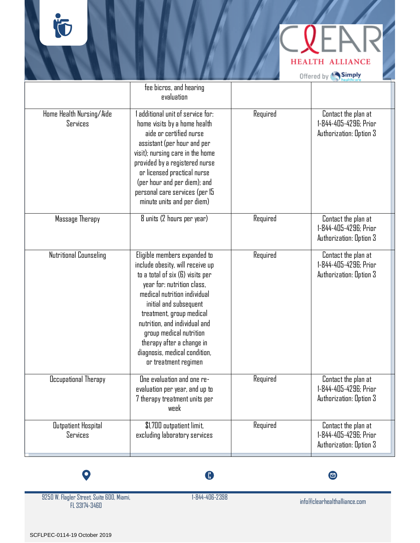

Offered by Simply

|                                        | fee bicros, and hearing<br>evaluation                                                                                                                                                                                                                                                                                                                                      |          |                                                                         |
|----------------------------------------|----------------------------------------------------------------------------------------------------------------------------------------------------------------------------------------------------------------------------------------------------------------------------------------------------------------------------------------------------------------------------|----------|-------------------------------------------------------------------------|
| Home Health Nursing/Aide<br>Services   | additional unit of service for:<br>home visits by a home health<br>aide or certified nurse<br>assistant (per hour and per<br>visit); nursing care in the home<br>provided by a registered nurse<br>or licensed practical nurse<br>(per hour and per diem); and<br>personal care services (per 15<br>minute units and per diem)                                             | Required | Contact the plan at<br>1-844-405-4296; Prior<br>Authorization: Option 3 |
| Massage Therapy                        | 8 units (2 hours per year)                                                                                                                                                                                                                                                                                                                                                 | Required | Contact the plan at<br>1-844-405-4296; Prior<br>Authorization: Option 3 |
| Nutritional Counseling                 | Eligible members expanded to<br>include obesity, will receive up<br>to a total of six (6) visits per<br>year for: nutrition class,<br>medical nutrition individual<br>initial and subsequent<br>treatment, group medical<br>nutrition, and individual and<br>group medical nutrition<br>therapy after a change in<br>diagnosis, medical condition,<br>or treatment regimen | Required | Contact the plan at<br>1-844-405-4296; Prior<br>Authorization: Option 3 |
| Occupational Therapy                   | One evaluation and one re-<br>evaluation per year, and up to<br>7 therapy treatment units per<br>week                                                                                                                                                                                                                                                                      | Required | Contact the plan at<br>1-844-405-4296: Prior<br>Authorization: Option 3 |
| <b>Outpatient Hospital</b><br>Services | \$1,700 outpatient limit,<br>excluding laboratory services                                                                                                                                                                                                                                                                                                                 | Required | Contact the plan at<br>1-844-405-4296; Prior<br>Authorization: Option 3 |

 $\bullet$ 9250 W. Flagler Street, Suite 600, Miami,

FL 33174-3460

 $\bullet$ 

 $\bullet$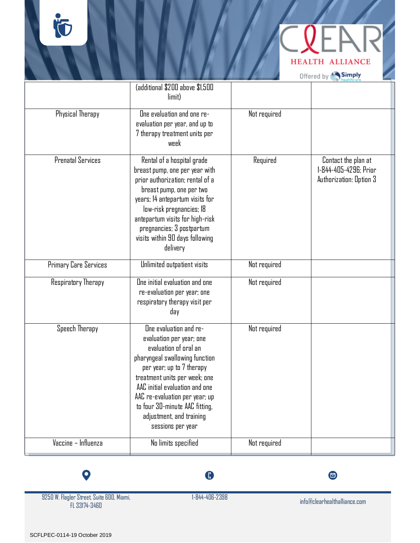İÓ

|  |            | <b>HEALTH ALLIANCE</b> |  |
|--|------------|------------------------|--|
|  | Offered by | <b>Simply</b>          |  |

|                          | (additional \$200 above \$1,500<br>limit)                                                                                                                                                                                                                                                                                          |              |                                                                         |
|--------------------------|------------------------------------------------------------------------------------------------------------------------------------------------------------------------------------------------------------------------------------------------------------------------------------------------------------------------------------|--------------|-------------------------------------------------------------------------|
| Physical Therapy         | One evaluation and one re-<br>evaluation per year, and up to<br>7 therapy treatment units per<br>week                                                                                                                                                                                                                              | Not required |                                                                         |
| <b>Prenatal Services</b> | Rental of a hospital grade<br>breast pump, one per year with<br>prior authorization; rental of a<br>breast pump, one per two<br>years; 14 antepartum visits for<br>low-risk pregnancies; 18<br>antepartum visits for high-risk<br>pregnancies; 3 postpartum<br>visits within 90 days following<br>delivery                         | Required     | Contact the plan at<br>1-844-405-4296; Prior<br>Authorization: Option 3 |
| Primary Care Services    | Unlimited outpatient visits                                                                                                                                                                                                                                                                                                        | Not required |                                                                         |
| Respiratory Therapy      | One initial evaluation and one<br>re-evaluation per year; one<br>respiratory therapy visit per<br>day                                                                                                                                                                                                                              | Not required |                                                                         |
| Speech Therapy           | One evaluation and re-<br>evaluation per year; one<br>evaluation of oral an<br>pharyngeal swallowing function<br>per year; up to 7 therapy<br>treatment units per week; one<br>AAC initial evaluation and one<br>AAC re-evaluation per year; up<br>to four 30-minute AAC fitting,<br>adjustment, and training<br>sessions per year | Not required |                                                                         |
| Vaccine - Influenza      | No limits specified                                                                                                                                                                                                                                                                                                                | Not required |                                                                         |

 $\bullet$ 

 $\bullet$ 

9250 W. Flagler Street, Suite 600, Miami, FL 33174-3460

 $\bullet$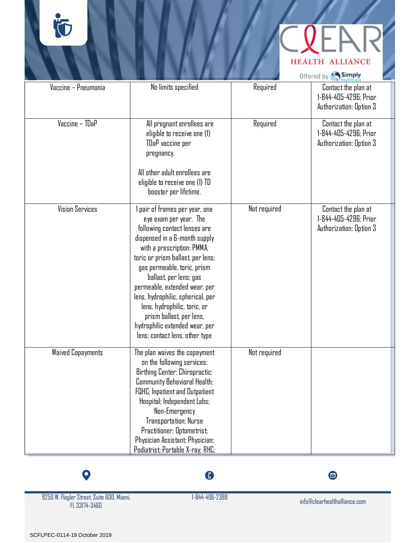# **HEALTH ALLIANCE**

|                          |                                                                                                                                                                                                                                                                                                                                                                                                                                                             |              | Offered by Simply                                                       |
|--------------------------|-------------------------------------------------------------------------------------------------------------------------------------------------------------------------------------------------------------------------------------------------------------------------------------------------------------------------------------------------------------------------------------------------------------------------------------------------------------|--------------|-------------------------------------------------------------------------|
| Vaccine - Pneumonia      | No limits specified                                                                                                                                                                                                                                                                                                                                                                                                                                         | Required     | Contact the plan at<br>1-844-405-4296; Prior<br>Authorization: Option 3 |
| Vaccine - TDaP           | All pregnant enrollees are<br>eligible to receive one (1)<br>TDaP vaccine per<br>pregnancy.<br>All other adult enrollees are<br>eligible to receive one (1) TD<br>booster per lifetime.                                                                                                                                                                                                                                                                     | Required     | Contact the plan at<br>1-844-405-4296; Prior<br>Authorization: Option 3 |
| <b>Vision Services</b>   | l pair of frames per year, one<br>eye exam per year. The<br>following contact lenses are<br>dispensed in a 6-month supply<br>with a prescription: PMMA,<br>toric or prism ballast, per lens;<br>gas permeable, toric, prism<br>ballast, per lens; gas<br>permeable, extended wear, per<br>lens, hydrophilic, spherical, per<br>lens, hydrophilic, toric, or<br>prism ballast, per lens,<br>hydrophilic extended wear, per<br>lens; contact lens, other type | Not required | Contact the plan at<br>1-844-405-4296: Prior<br>Authorization: Option 3 |
| <b>Waived Copayments</b> | The plan waives the copayment<br>on the following services:<br>Birthing Center; Chiropractic;<br>Community Behavioral Health;<br><b>FQHC</b> ; Inpatient and Outpatient<br>Hospital; Independent Labs;<br>Non-Emergency<br>Transportation; Nurse<br>Practitioner; Optometrist;<br>Physician Assistant; Physician;<br>Podiatrist; Portable X-ray; RHC;                                                                                                       | Not required |                                                                         |



9250 W. Flagler Street, Suite 600, Miami, FL 33174-3460

 $\bigoplus$ 

 $\bullet$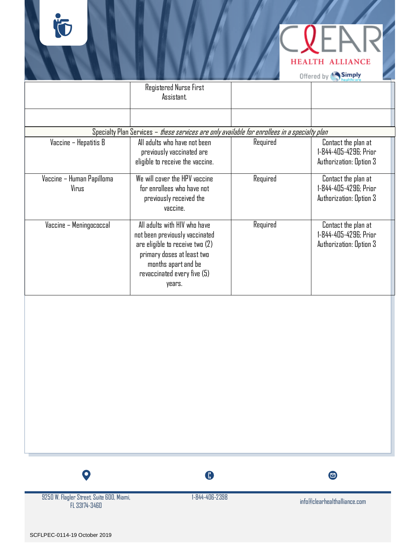

Offered by Simply

|                                    | Registered Nurse First<br>Assistant.                                                                                                                                                              |          |                                                                         |
|------------------------------------|---------------------------------------------------------------------------------------------------------------------------------------------------------------------------------------------------|----------|-------------------------------------------------------------------------|
|                                    |                                                                                                                                                                                                   |          |                                                                         |
|                                    | Specialty Plan Services – <i>these services are only available for enrollees in a specialty plan</i>                                                                                              |          |                                                                         |
| Vaccine – Hepatitis B              | All adults who have not been<br>previously vaccinated are<br>eligible to receive the vaccine.                                                                                                     | Required | Contact the plan at<br>1-844-405-4296; Prior<br>Authorization: Option 3 |
| Vaccine - Human Papilloma<br>Virus | We will cover the HPV vaccine<br>for enrollees who have not<br>previously received the<br>vaccine.                                                                                                | Required | Contact the plan at<br>1-844-405-4296: Prior<br>Authorization: Option 3 |
| Vaccine - Meningococcal            | All adults with HIV who have<br>not been previously vaccinated<br>are eligible to receive two $(2)$<br>primary doses at least two<br>months apart and be<br>revaccinated every five (5)<br>years. | Required | Contact the plan at<br>1-844-405-4296; Prior<br>Authorization: Option 3 |

9250 W. Flagler Street, Suite 600, Miami, FL 33174-3460

 $\bullet$ 

 $\bullet$ 

 $\bullet$